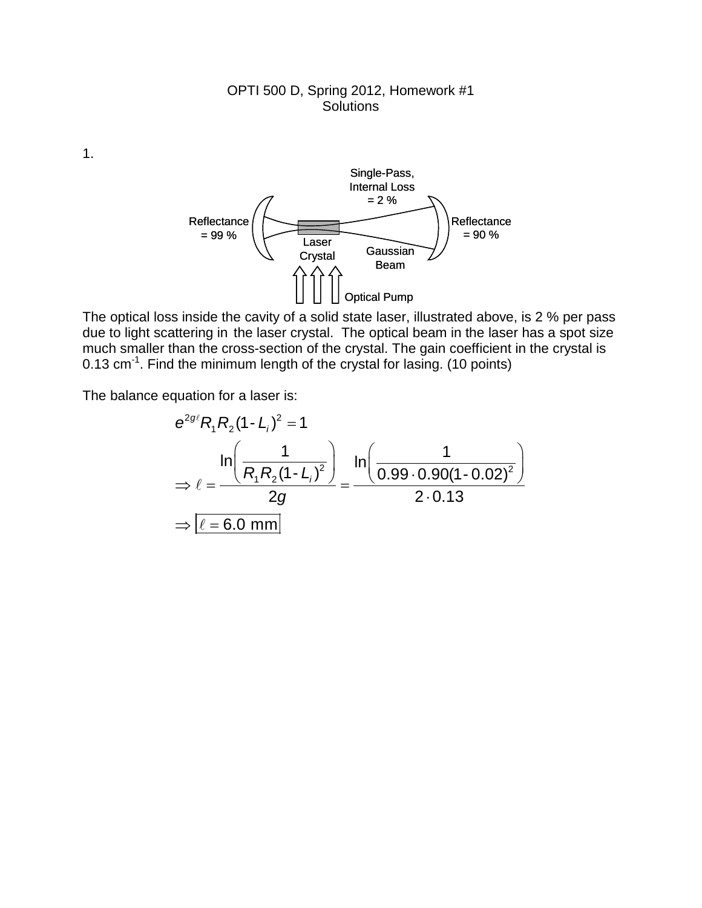## OPTI 500 D, Spring 2012, Homework #1 **Solutions**

1.



The optical loss inside the cavity of a solid state laser, illustrated above, is 2 % per pass due to light scattering in the laser crystal. The optical beam in the laser has a spot size much smaller than the cross-section of the crystal. The gain coefficient in the crystal is 0.13 cm<sup>-1</sup>. Find the minimum length of the crystal for lasing. (10 points)

The balance equation for a laser is:

$$
e^{2gt}R_1R_2(1-L_1)^2 = 1
$$
  
\n
$$
\Rightarrow \ell = \frac{\ln\left(\frac{1}{R_1R_2(1-L_1)^2}\right)}{2g} = \frac{\ln\left(\frac{1}{0.99 \cdot 0.90(1-0.02)^2}\right)}{2 \cdot 0.13}
$$
  
\n
$$
\Rightarrow \boxed{\ell = 6.0 \text{ mm}}
$$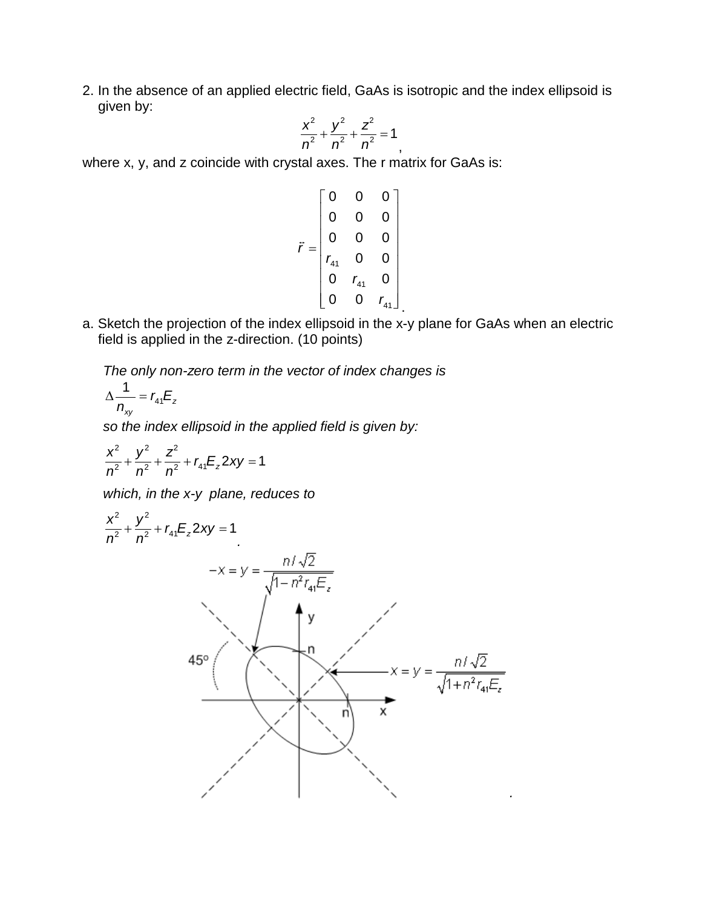2. In the absence of an applied electric field, GaAs is isotropic and the index ellipsoid is given by:

$$
\frac{x^2}{n^2} + \frac{y^2}{n^2} + \frac{z^2}{n^2} = 1
$$

,

where x, y, and z coincide with crystal axes. The r matrix for GaAs is:

$$
\vec{r} = \begin{bmatrix} 0 & 0 & 0 \\ 0 & 0 & 0 \\ 0 & 0 & 0 \\ r_{41} & 0 & 0 \\ 0 & r_{41} & 0 \\ 0 & 0 & r_{41} \end{bmatrix}.
$$

a. Sketch the projection of the index ellipsoid in the x-y plane for GaAs when an electric field is applied in the z-direction. (10 points)

*The only non-zero term in the vector of index changes is*

$$
\Delta \frac{1}{n_{xy}} = r_{41} E_z
$$

*so the index ellipsoid in the applied field is given by:*

$$
\frac{x^2}{n^2} + \frac{y^2}{n^2} + \frac{z^2}{n^2} + r_{41}E_z 2xy = 1
$$

*which, in the x-y plane, reduces to*

2 2 2 2 <sup>41</sup> *<sup>z</sup>*2 1 *x y r E xy n n* ++ = *.*

*.*